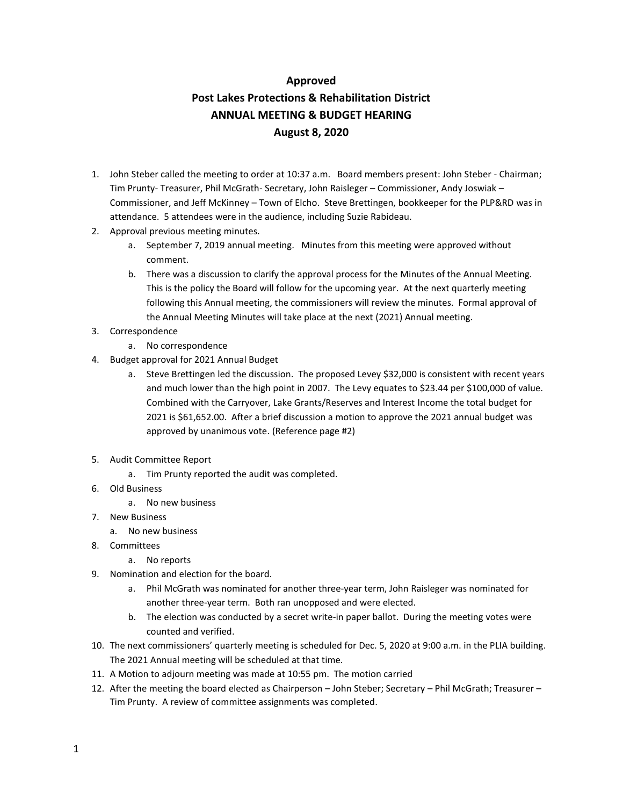## **Approved**

## **Post Lakes Protections & Rehabilitation District ANNUAL MEETING & BUDGET HEARING August 8, 2020**

- 1. John Steber called the meeting to order at 10:37 a.m. Board members present: John Steber Chairman; Tim Prunty- Treasurer, Phil McGrath- Secretary, John Raisleger – Commissioner, Andy Joswiak – Commissioner, and Jeff McKinney – Town of Elcho. Steve Brettingen, bookkeeper for the PLP&RD was in attendance. 5 attendees were in the audience, including Suzie Rabideau.
- 2. Approval previous meeting minutes.
	- a. September 7, 2019 annual meeting. Minutes from this meeting were approved without comment.
	- b. There was a discussion to clarify the approval process for the Minutes of the Annual Meeting. This is the policy the Board will follow for the upcoming year. At the next quarterly meeting following this Annual meeting, the commissioners will review the minutes. Formal approval of the Annual Meeting Minutes will take place at the next (2021) Annual meeting.
- 3. Correspondence
	- a. No correspondence
- 4. Budget approval for 2021 Annual Budget
	- a. Steve Brettingen led the discussion. The proposed Levey \$32,000 is consistent with recent years and much lower than the high point in 2007. The Levy equates to \$23.44 per \$100,000 of value. Combined with the Carryover, Lake Grants/Reserves and Interest Income the total budget for 2021 is \$61,652.00. After a brief discussion a motion to approve the 2021 annual budget was approved by unanimous vote. (Reference page #2)
- 5. Audit Committee Report
	- a. Tim Prunty reported the audit was completed.
- 6. Old Business
	- a. No new business
- 7. New Business
	- a. No new business
- 8. Committees
	- a. No reports
- 9. Nomination and election for the board.
	- a. Phil McGrath was nominated for another three-year term, John Raisleger was nominated for another three-year term. Both ran unopposed and were elected.
	- b. The election was conducted by a secret write-in paper ballot. During the meeting votes were counted and verified.
- 10. The next commissioners' quarterly meeting is scheduled for Dec. 5, 2020 at 9:00 a.m. in the PLIA building. The 2021 Annual meeting will be scheduled at that time.
- 11. A Motion to adjourn meeting was made at 10:55 pm. The motion carried
- 12. After the meeting the board elected as Chairperson John Steber; Secretary Phil McGrath; Treasurer Tim Prunty. A review of committee assignments was completed.